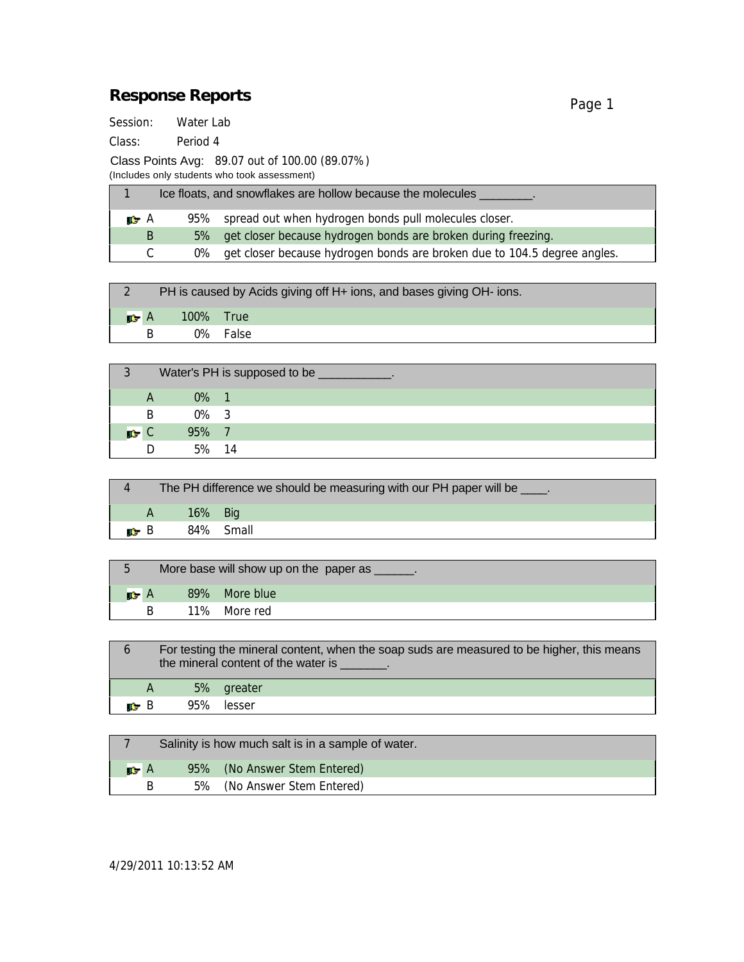## Response Reports

Session: Water Lab

Class: Period 4

Class Points Avg: 89.07 out of 100.00 (89.07%)

(Includes only students who took assessment)

| Ice floats, and snowflakes are hollow because the molecules |       |                                                                          |  |
|-------------------------------------------------------------|-------|--------------------------------------------------------------------------|--|
| Α                                                           | 95%   | spread out when hydrogen bonds pull molecules closer.                    |  |
| B                                                           | $5\%$ | get closer because hydrogen bonds are broken during freezing.            |  |
| C.                                                          | $0\%$ | get closer because hydrogen bonds are broken due to 104.5 degree angles. |  |

|              | PH is caused by Acids giving off H+ ions, and bases giving OH- ions. |          |  |  |  |
|--------------|----------------------------------------------------------------------|----------|--|--|--|
| $\mathsf{A}$ | 100% True                                                            |          |  |  |  |
| B            |                                                                      | 0% False |  |  |  |

| 3 | Water's PH is supposed to be |         |  |  |  |
|---|------------------------------|---------|--|--|--|
|   |                              | $0\%$ 1 |  |  |  |
|   | B                            | $0\%$ 3 |  |  |  |
|   |                              | 95% 7   |  |  |  |
|   |                              | 5% 14   |  |  |  |

| The PH difference we should be measuring with our PH paper will be _____. |         |           |  |  |
|---------------------------------------------------------------------------|---------|-----------|--|--|
| A                                                                         | 16% Big |           |  |  |
| B                                                                         |         | 84% Small |  |  |

| More base will show up on the paper as |  |               |  |  |
|----------------------------------------|--|---------------|--|--|
|                                        |  | 89% More blue |  |  |
| R                                      |  | 11% More red  |  |  |

| 6 |   | For testing the mineral content, when the soap suds are measured to be higher, this means<br>the mineral content of the water is Theorem is |
|---|---|---------------------------------------------------------------------------------------------------------------------------------------------|
|   | A | 5% greater                                                                                                                                  |
|   | B | 95% lesser                                                                                                                                  |
|   |   |                                                                                                                                             |

| Salinity is how much salt is in a sample of water. |  |                              |  |  |
|----------------------------------------------------|--|------------------------------|--|--|
| $\mathsf{A}$                                       |  | 95% (No Answer Stem Entered) |  |  |
| В                                                  |  | 5% (No Answer Stem Entered)  |  |  |

4/29/2011 10:13:52 AM